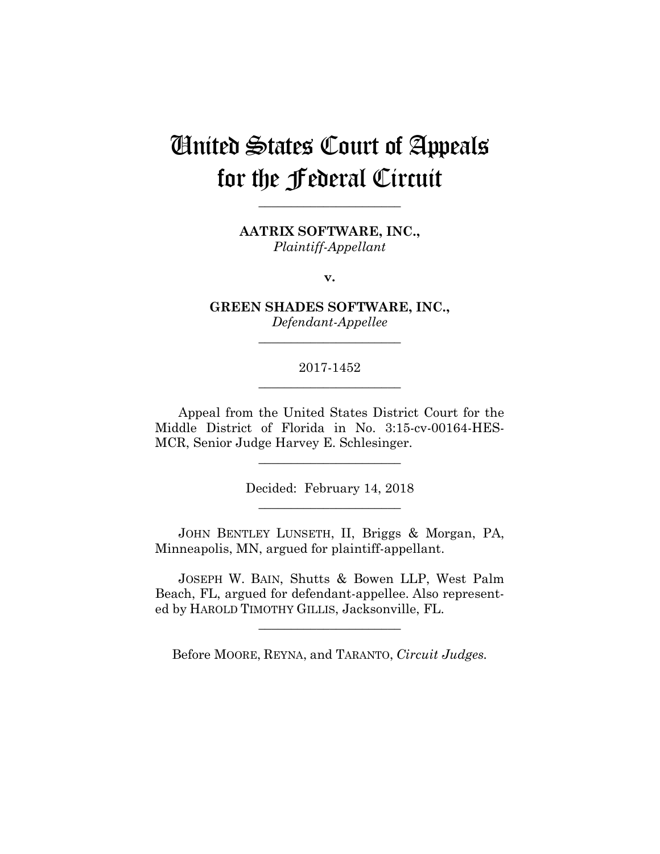# United States Court of Appeals for the Federal Circuit

**\_\_\_\_\_\_\_\_\_\_\_\_\_\_\_\_\_\_\_\_\_\_** 

**AATRIX SOFTWARE, INC.,** *Plaintiff-Appellant*

**v.**

**GREEN SHADES SOFTWARE, INC.,** *Defendant-Appellee*

**\_\_\_\_\_\_\_\_\_\_\_\_\_\_\_\_\_\_\_\_\_\_** 

## 2017-1452 **\_\_\_\_\_\_\_\_\_\_\_\_\_\_\_\_\_\_\_\_\_\_**

Appeal from the United States District Court for the Middle District of Florida in No. 3:15-cv-00164-HES-MCR, Senior Judge Harvey E. Schlesinger.

> Decided: February 14, 2018 **\_\_\_\_\_\_\_\_\_\_\_\_\_\_\_\_\_\_\_\_\_\_**

**\_\_\_\_\_\_\_\_\_\_\_\_\_\_\_\_\_\_\_\_\_\_** 

 JOHN BENTLEY LUNSETH, II, Briggs & Morgan, PA, Minneapolis, MN, argued for plaintiff-appellant.

 JOSEPH W. BAIN, Shutts & Bowen LLP, West Palm Beach, FL, argued for defendant-appellee. Also represented by HAROLD TIMOTHY GILLIS, Jacksonville, FL.

Before MOORE, REYNA, and TARANTO, *Circuit Judges.*

**\_\_\_\_\_\_\_\_\_\_\_\_\_\_\_\_\_\_\_\_\_\_**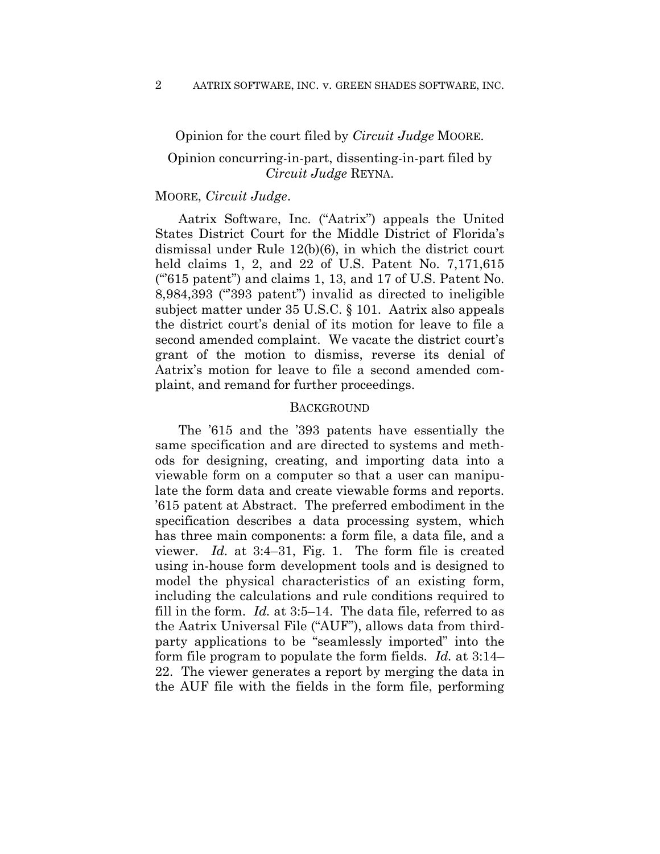Opinion for the court filed by *Circuit Judge* MOORE.

## Opinion concurring-in-part, dissenting-in-part filed by *Circuit Judge* REYNA.

### MOORE, *Circuit Judge*.

Aatrix Software, Inc. ("Aatrix") appeals the United States District Court for the Middle District of Florida's dismissal under Rule 12(b)(6), in which the district court held claims 1, 2, and 22 of U.S. Patent No. 7,171,615 (" $615$  patent") and claims 1, 13, and 17 of U.S. Patent No. 8,984,393 ("'393 patent") invalid as directed to ineligible subject matter under 35 U.S.C. § 101. Aatrix also appeals the district court's denial of its motion for leave to file a second amended complaint. We vacate the district court's grant of the motion to dismiss, reverse its denial of Aatrix's motion for leave to file a second amended complaint, and remand for further proceedings.

#### **BACKGROUND**

The '615 and the '393 patents have essentially the same specification and are directed to systems and methods for designing, creating, and importing data into a viewable form on a computer so that a user can manipulate the form data and create viewable forms and reports. '615 patent at Abstract. The preferred embodiment in the specification describes a data processing system, which has three main components: a form file, a data file, and a viewer. *Id.* at 3:4–31, Fig. 1. The form file is created using in-house form development tools and is designed to model the physical characteristics of an existing form, including the calculations and rule conditions required to fill in the form. *Id.* at 3:5–14. The data file, referred to as the Aatrix Universal File ("AUF"), allows data from thirdparty applications to be "seamlessly imported" into the form file program to populate the form fields. *Id.* at 3:14– 22. The viewer generates a report by merging the data in the AUF file with the fields in the form file, performing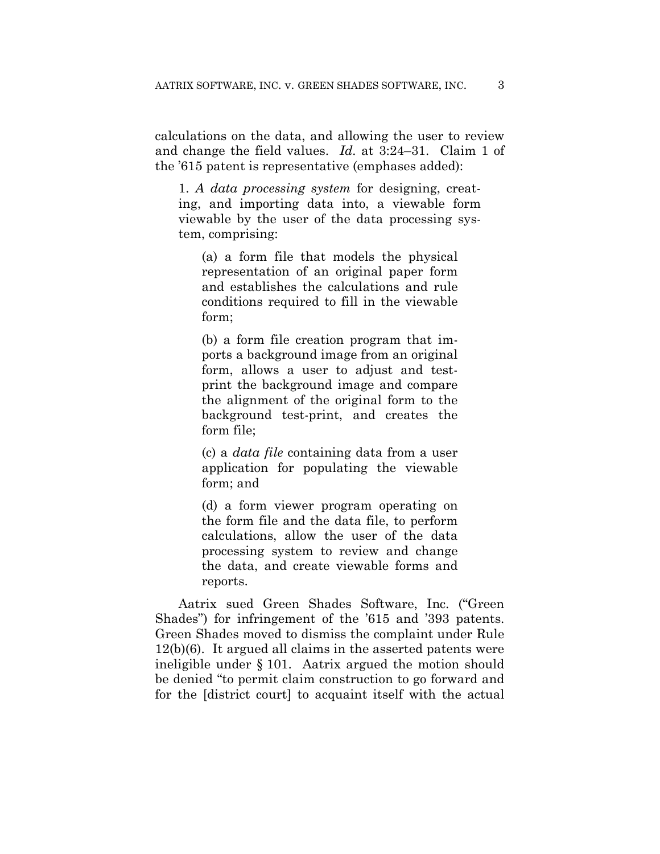calculations on the data, and allowing the user to review and change the field values. *Id.* at 3:24–31. Claim 1 of the '615 patent is representative (emphases added):

1. *A data processing system* for designing, creating, and importing data into, a viewable form viewable by the user of the data processing system, comprising:

(a) a form file that models the physical representation of an original paper form and establishes the calculations and rule conditions required to fill in the viewable form;

(b) a form file creation program that imports a background image from an original form, allows a user to adjust and testprint the background image and compare the alignment of the original form to the background test-print, and creates the form file;

(c) a *data file* containing data from a user application for populating the viewable form; and

(d) a form viewer program operating on the form file and the data file, to perform calculations, allow the user of the data processing system to review and change the data, and create viewable forms and reports.

Aatrix sued Green Shades Software, Inc. ("Green Shades") for infringement of the '615 and '393 patents. Green Shades moved to dismiss the complaint under Rule 12(b)(6). It argued all claims in the asserted patents were ineligible under § 101. Aatrix argued the motion should be denied "to permit claim construction to go forward and for the [district court] to acquaint itself with the actual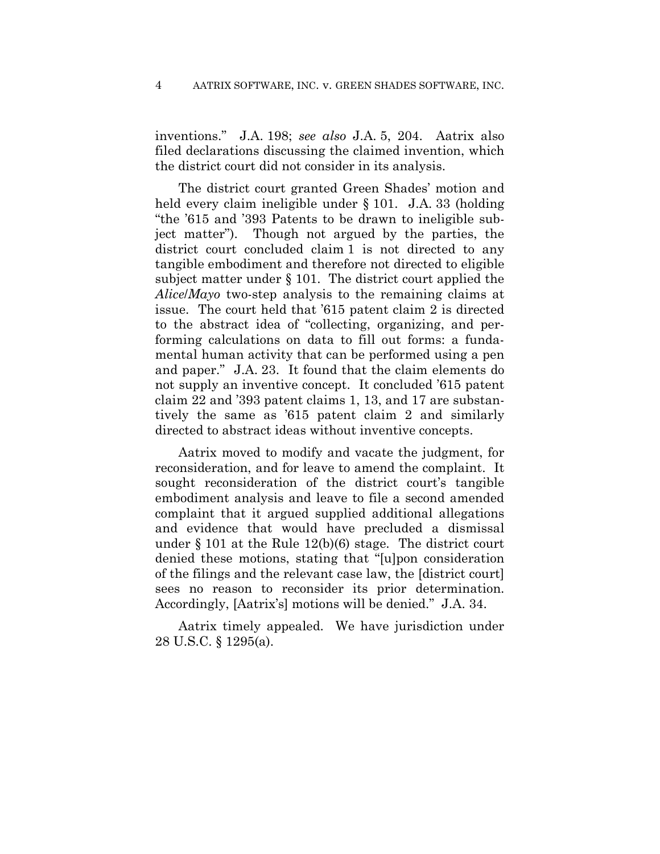inventions." J.A. 198; *see also* J.A. 5, 204. Aatrix also filed declarations discussing the claimed invention, which the district court did not consider in its analysis.

The district court granted Green Shades' motion and held every claim ineligible under § 101. J.A. 33 (holding "the '615 and '393 Patents to be drawn to ineligible subject matter"). Though not argued by the parties, the district court concluded claim 1 is not directed to any tangible embodiment and therefore not directed to eligible subject matter under § 101. The district court applied the *Alice*/*Mayo* two-step analysis to the remaining claims at issue. The court held that '615 patent claim 2 is directed to the abstract idea of "collecting, organizing, and performing calculations on data to fill out forms: a fundamental human activity that can be performed using a pen and paper." J.A. 23. It found that the claim elements do not supply an inventive concept. It concluded '615 patent claim 22 and '393 patent claims 1, 13, and 17 are substantively the same as '615 patent claim 2 and similarly directed to abstract ideas without inventive concepts.

Aatrix moved to modify and vacate the judgment, for reconsideration, and for leave to amend the complaint. It sought reconsideration of the district court's tangible embodiment analysis and leave to file a second amended complaint that it argued supplied additional allegations and evidence that would have precluded a dismissal under § 101 at the Rule 12(b)(6) stage. The district court denied these motions, stating that "[u]pon consideration of the filings and the relevant case law, the [district court] sees no reason to reconsider its prior determination. Accordingly, [Aatrix's] motions will be denied." J.A. 34.

Aatrix timely appealed. We have jurisdiction under 28 U.S.C. § 1295(a).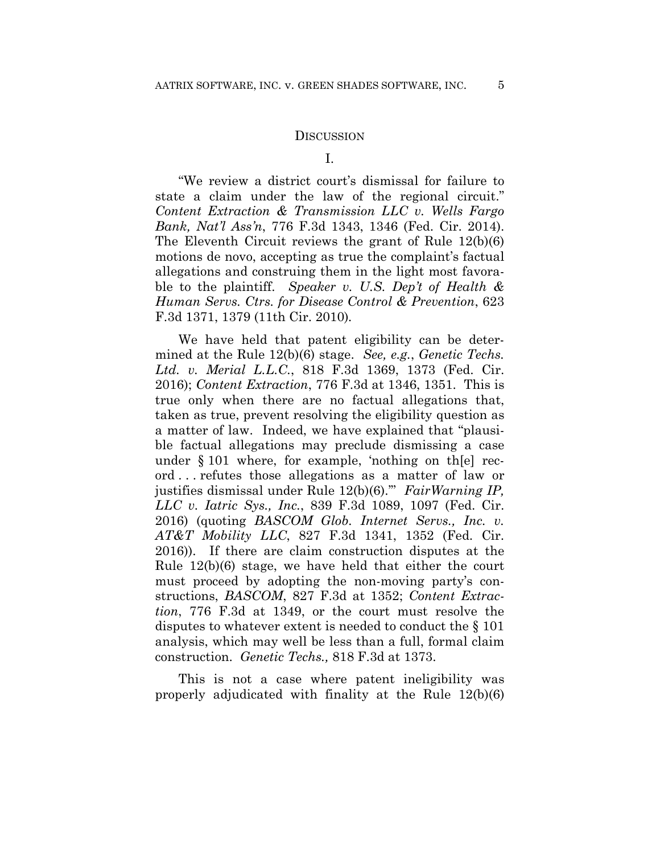#### **DISCUSSION**

"We review a district court's dismissal for failure to state a claim under the law of the regional circuit." *Content Extraction & Transmission LLC v. Wells Fargo Bank, Nat'l Ass'n*, 776 F.3d 1343, 1346 (Fed. Cir. 2014). The Eleventh Circuit reviews the grant of Rule 12(b)(6) motions de novo, accepting as true the complaint's factual allegations and construing them in the light most favorable to the plaintiff. *Speaker v. U.S. Dep't of Health & Human Servs. Ctrs. for Disease Control & Prevention*, 623 F.3d 1371, 1379 (11th Cir. 2010)*.*

We have held that patent eligibility can be determined at the Rule 12(b)(6) stage. *See, e.g.*, *Genetic Techs. Ltd. v. Merial L.L.C.*, 818 F.3d 1369, 1373 (Fed. Cir. 2016); *Content Extraction*, 776 F.3d at 1346, 1351. This is true only when there are no factual allegations that, taken as true, prevent resolving the eligibility question as a matter of law. Indeed, we have explained that "plausible factual allegations may preclude dismissing a case under § 101 where, for example, 'nothing on th[e] record . . . refutes those allegations as a matter of law or justifies dismissal under Rule 12(b)(6).'" *FairWarning IP, LLC v. Iatric Sys., Inc.*, 839 F.3d 1089, 1097 (Fed. Cir. 2016) (quoting *BASCOM Glob. Internet Servs., Inc. v. AT&T Mobility LLC*, 827 F.3d 1341, 1352 (Fed. Cir. 2016)). If there are claim construction disputes at the Rule 12(b)(6) stage, we have held that either the court must proceed by adopting the non-moving party's constructions, *BASCOM*, 827 F.3d at 1352; *Content Extraction*, 776 F.3d at 1349, or the court must resolve the disputes to whatever extent is needed to conduct the § 101 analysis, which may well be less than a full, formal claim construction. *Genetic Techs.,* 818 F.3d at 1373.

This is not a case where patent ineligibility was properly adjudicated with finality at the Rule 12(b)(6)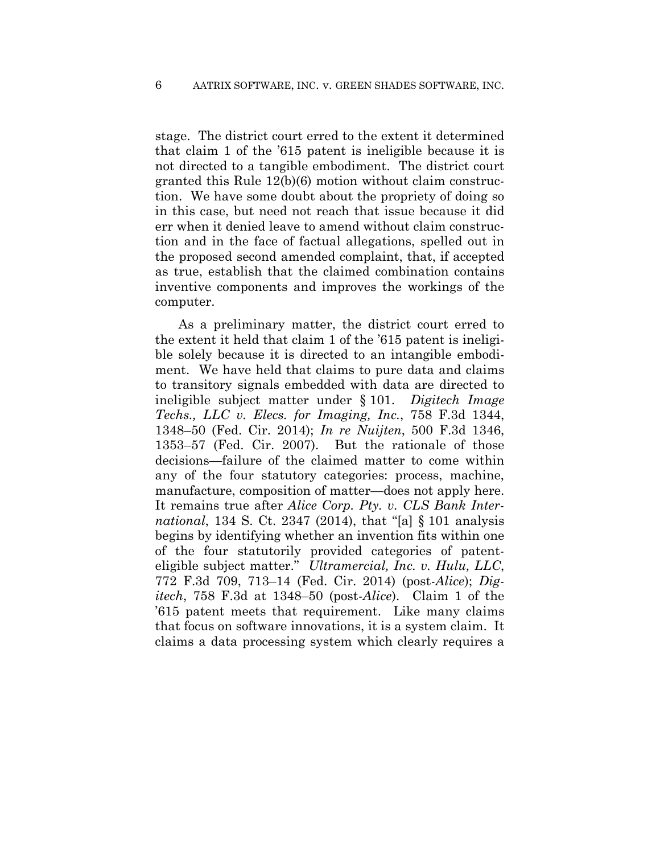stage. The district court erred to the extent it determined that claim 1 of the '615 patent is ineligible because it is not directed to a tangible embodiment. The district court granted this Rule 12(b)(6) motion without claim construction. We have some doubt about the propriety of doing so in this case, but need not reach that issue because it did err when it denied leave to amend without claim construction and in the face of factual allegations, spelled out in the proposed second amended complaint, that, if accepted as true, establish that the claimed combination contains inventive components and improves the workings of the computer.

As a preliminary matter, the district court erred to the extent it held that claim 1 of the '615 patent is ineligible solely because it is directed to an intangible embodiment. We have held that claims to pure data and claims to transitory signals embedded with data are directed to ineligible subject matter under § 101. *Digitech Image Techs., LLC v. Elecs. for Imaging, Inc.*, 758 F.3d 1344, 1348–50 (Fed. Cir. 2014); *In re Nuijten*, 500 F.3d 1346, 1353–57 (Fed. Cir. 2007). But the rationale of those decisions—failure of the claimed matter to come within any of the four statutory categories: process, machine, manufacture, composition of matter—does not apply here. It remains true after *Alice Corp. Pty. v. CLS Bank International*, 134 S. Ct. 2347 (2014), that "[a] § 101 analysis begins by identifying whether an invention fits within one of the four statutorily provided categories of patenteligible subject matter." *Ultramercial, Inc. v. Hulu, LLC*, 772 F.3d 709, 713–14 (Fed. Cir. 2014) (post-*Alice*); *Digitech*, 758 F.3d at 1348–50 (post-*Alice*). Claim 1 of the '615 patent meets that requirement. Like many claims that focus on software innovations, it is a system claim. It claims a data processing system which clearly requires a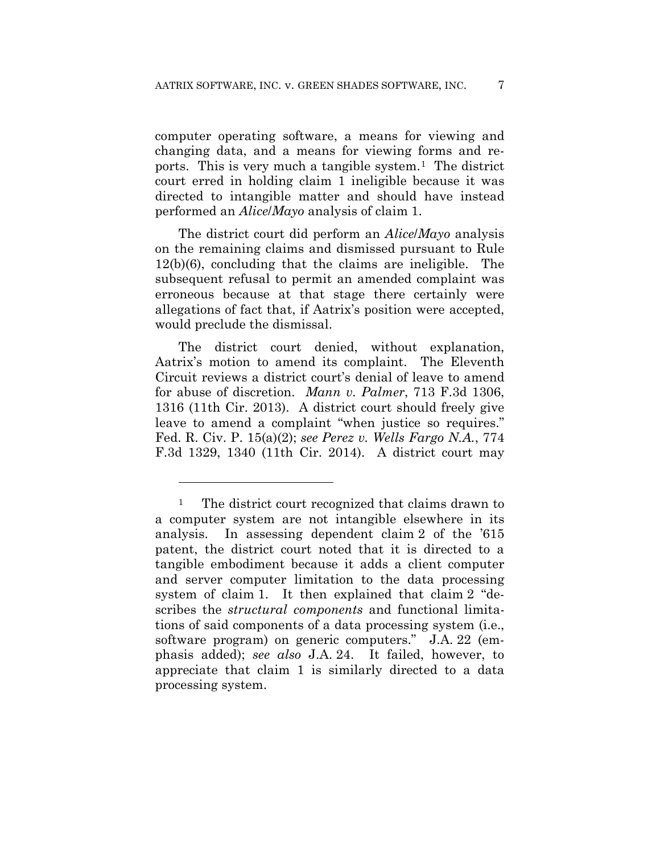computer operating software, a means for viewing and changing data, and a means for viewing forms and reports. This is very much a tangible system.1 The district court erred in holding claim 1 ineligible because it was directed to intangible matter and should have instead performed an *Alice*/*Mayo* analysis of claim 1.

The district court did perform an *Alice*/*Mayo* analysis on the remaining claims and dismissed pursuant to Rule 12(b)(6), concluding that the claims are ineligible. The subsequent refusal to permit an amended complaint was erroneous because at that stage there certainly were allegations of fact that, if Aatrix's position were accepted, would preclude the dismissal.

The district court denied, without explanation, Aatrix's motion to amend its complaint. The Eleventh Circuit reviews a district court's denial of leave to amend for abuse of discretion. *Mann v. Palmer*, 713 F.3d 1306, 1316 (11th Cir. 2013). A district court should freely give leave to amend a complaint "when justice so requires." Fed. R. Civ. P. 15(a)(2); *see Perez v. Wells Fargo N.A.*, 774 F.3d 1329, 1340 (11th Cir. 2014). A district court may

<sup>&</sup>lt;sup>1</sup> The district court recognized that claims drawn to a computer system are not intangible elsewhere in its analysis. In assessing dependent claim 2 of the '615 patent, the district court noted that it is directed to a tangible embodiment because it adds a client computer and server computer limitation to the data processing system of claim 1. It then explained that claim 2 "describes the *structural components* and functional limitations of said components of a data processing system (i.e., software program) on generic computers." J.A. 22 (emphasis added); *see also* J.A. 24. It failed, however, to appreciate that claim 1 is similarly directed to a data processing system.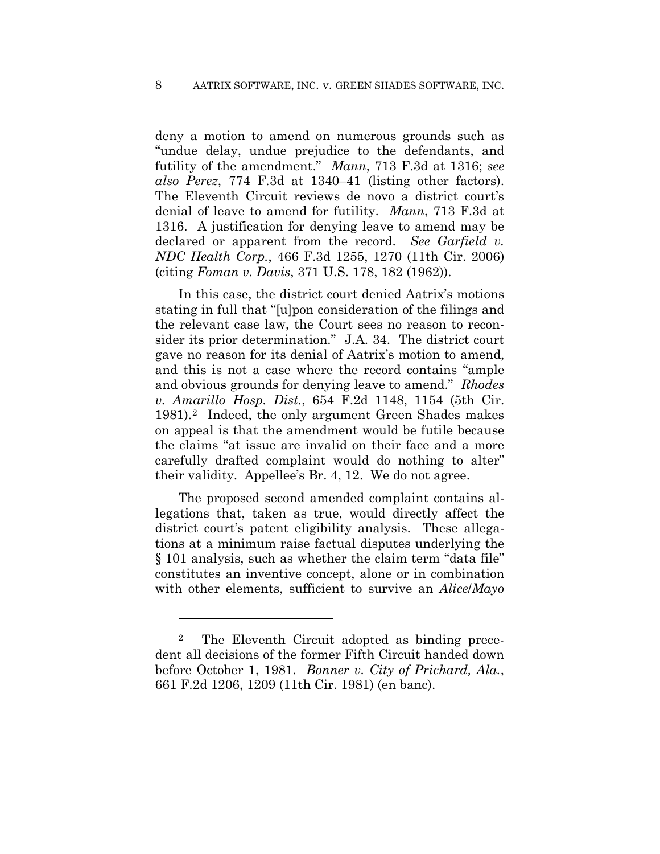deny a motion to amend on numerous grounds such as "undue delay, undue prejudice to the defendants, and futility of the amendment." *Mann*, 713 F.3d at 1316; *see also Perez*, 774 F.3d at 1340–41 (listing other factors). The Eleventh Circuit reviews de novo a district court's denial of leave to amend for futility. *Mann*, 713 F.3d at 1316. A justification for denying leave to amend may be declared or apparent from the record. *See Garfield v. NDC Health Corp.*, 466 F.3d 1255, 1270 (11th Cir. 2006) (citing *Foman v. Davis*, 371 U.S. 178, 182 (1962)).

In this case, the district court denied Aatrix's motions stating in full that "[u]pon consideration of the filings and the relevant case law, the Court sees no reason to reconsider its prior determination." J.A. 34. The district court gave no reason for its denial of Aatrix's motion to amend, and this is not a case where the record contains "ample and obvious grounds for denying leave to amend." *Rhodes v. Amarillo Hosp. Dist.*, 654 F.2d 1148, 1154 (5th Cir. 1981).2Indeed, the only argument Green Shades makes on appeal is that the amendment would be futile because the claims "at issue are invalid on their face and a more carefully drafted complaint would do nothing to alter" their validity. Appellee's Br. 4, 12. We do not agree.

The proposed second amended complaint contains allegations that, taken as true, would directly affect the district court's patent eligibility analysis. These allegations at a minimum raise factual disputes underlying the § 101 analysis, such as whether the claim term "data file" constitutes an inventive concept, alone or in combination with other elements, sufficient to survive an *Alice*/*Mayo*

<sup>2</sup> The Eleventh Circuit adopted as binding precedent all decisions of the former Fifth Circuit handed down before October 1, 1981. *Bonner v. City of Prichard, Ala.*, 661 F.2d 1206, 1209 (11th Cir. 1981) (en banc).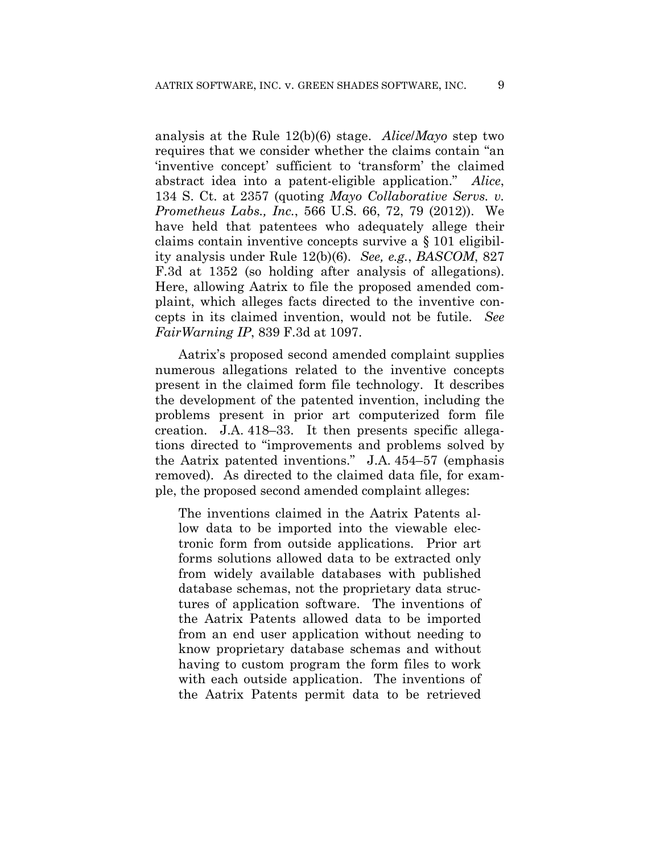analysis at the Rule 12(b)(6) stage. *Alice*/*Mayo* step two requires that we consider whether the claims contain "an 'inventive concept' sufficient to 'transform' the claimed abstract idea into a patent-eligible application." *Alice*, 134 S. Ct. at 2357 (quoting *Mayo Collaborative Servs. v. Prometheus Labs., Inc.*, 566 U.S. 66, 72, 79 (2012)). We have held that patentees who adequately allege their claims contain inventive concepts survive a § 101 eligibility analysis under Rule 12(b)(6). *See, e.g.*, *BASCOM*, 827 F.3d at 1352 (so holding after analysis of allegations). Here, allowing Aatrix to file the proposed amended complaint, which alleges facts directed to the inventive concepts in its claimed invention, would not be futile. *See FairWarning IP*, 839 F.3d at 1097.

Aatrix's proposed second amended complaint supplies numerous allegations related to the inventive concepts present in the claimed form file technology. It describes the development of the patented invention, including the problems present in prior art computerized form file creation. J.A. 418–33. It then presents specific allegations directed to "improvements and problems solved by the Aatrix patented inventions." J.A. 454–57 (emphasis removed). As directed to the claimed data file, for example, the proposed second amended complaint alleges:

The inventions claimed in the Aatrix Patents allow data to be imported into the viewable electronic form from outside applications. Prior art forms solutions allowed data to be extracted only from widely available databases with published database schemas, not the proprietary data structures of application software. The inventions of the Aatrix Patents allowed data to be imported from an end user application without needing to know proprietary database schemas and without having to custom program the form files to work with each outside application. The inventions of the Aatrix Patents permit data to be retrieved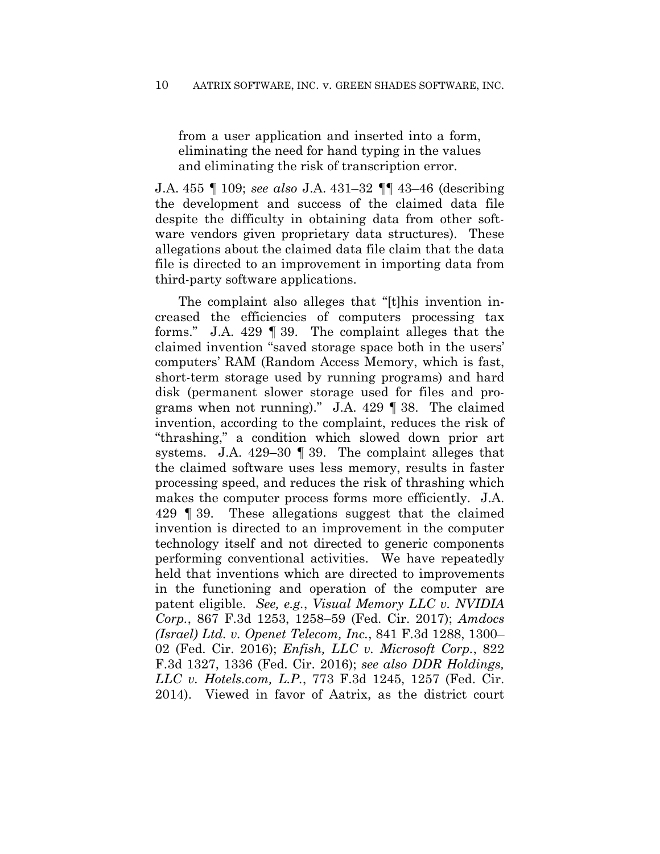from a user application and inserted into a form, eliminating the need for hand typing in the values and eliminating the risk of transcription error.

J.A. 455 ¶ 109; *see also* J.A. 431–32 ¶¶ 43–46 (describing the development and success of the claimed data file despite the difficulty in obtaining data from other software vendors given proprietary data structures). These allegations about the claimed data file claim that the data file is directed to an improvement in importing data from third-party software applications.

The complaint also alleges that "[t]his invention increased the efficiencies of computers processing tax forms." J.A. 429 ¶ 39. The complaint alleges that the claimed invention "saved storage space both in the users' computers' RAM (Random Access Memory, which is fast, short-term storage used by running programs) and hard disk (permanent slower storage used for files and programs when not running)." J.A. 429 ¶ 38. The claimed invention, according to the complaint, reduces the risk of "thrashing," a condition which slowed down prior art systems. J.A. 429–30 ¶ 39. The complaint alleges that the claimed software uses less memory, results in faster processing speed, and reduces the risk of thrashing which makes the computer process forms more efficiently. J.A. 429 ¶ 39. These allegations suggest that the claimed invention is directed to an improvement in the computer technology itself and not directed to generic components performing conventional activities. We have repeatedly held that inventions which are directed to improvements in the functioning and operation of the computer are patent eligible. *See, e.g.*, *Visual Memory LLC v. NVIDIA Corp.*, 867 F.3d 1253, 1258–59 (Fed. Cir. 2017); *Amdocs (Israel) Ltd. v. Openet Telecom, Inc.*, 841 F.3d 1288, 1300– 02 (Fed. Cir. 2016); *Enfish, LLC v. Microsoft Corp.*, 822 F.3d 1327, 1336 (Fed. Cir. 2016); *see also DDR Holdings, LLC v. Hotels.com, L.P.*, 773 F.3d 1245, 1257 (Fed. Cir. 2014). Viewed in favor of Aatrix, as the district court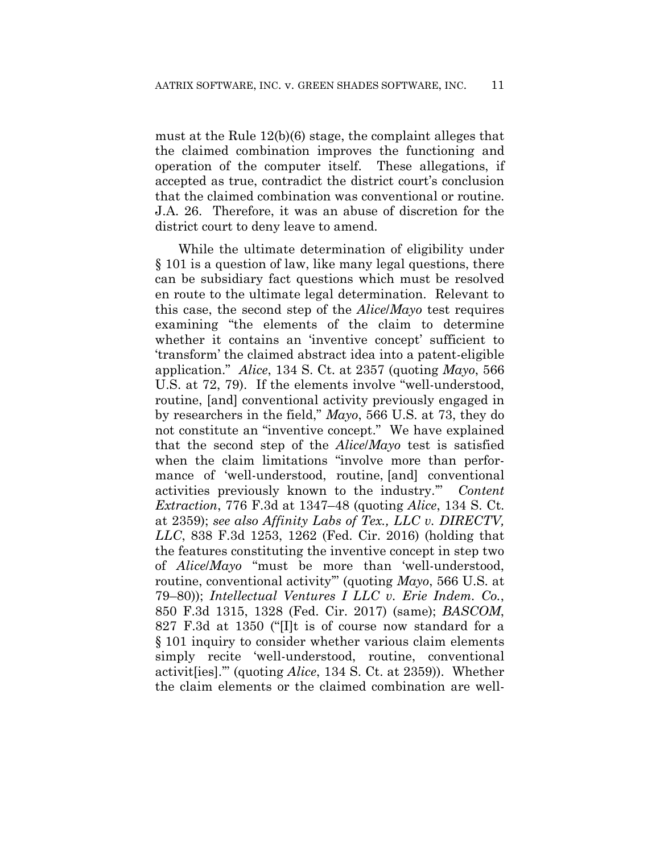must at the Rule 12(b)(6) stage, the complaint alleges that the claimed combination improves the functioning and operation of the computer itself. These allegations, if accepted as true, contradict the district court's conclusion that the claimed combination was conventional or routine. J.A. 26. Therefore, it was an abuse of discretion for the district court to deny leave to amend.

While the ultimate determination of eligibility under § 101 is a question of law, like many legal questions, there can be subsidiary fact questions which must be resolved en route to the ultimate legal determination. Relevant to this case, the second step of the *Alice*/*Mayo* test requires examining "the elements of the claim to determine whether it contains an 'inventive concept' sufficient to 'transform' the claimed abstract idea into a patent-eligible application." *Alice*, 134 S. Ct. at 2357 (quoting *Mayo*, 566 U.S. at 72, 79). If the elements involve "well-understood, routine, [and] conventional activity previously engaged in by researchers in the field," *Mayo*, 566 U.S. at 73, they do not constitute an "inventive concept." We have explained that the second step of the *Alice*/*Mayo* test is satisfied when the claim limitations "involve more than performance of 'well-understood, routine, [and] conventional activities previously known to the industry.'" *Content Extraction*, 776 F.3d at 1347–48 (quoting *Alice*, 134 S. Ct. at 2359); *see also Affinity Labs of Tex., LLC v. DIRECTV, LLC*, 838 F.3d 1253, 1262 (Fed. Cir. 2016) (holding that the features constituting the inventive concept in step two of *Alice*/*Mayo* "must be more than 'well-understood, routine, conventional activity'" (quoting *Mayo*, 566 U.S. at 79–80)); *Intellectual Ventures I LLC v. Erie Indem. Co.*, 850 F.3d 1315, 1328 (Fed. Cir. 2017) (same); *BASCOM*, 827 F.3d at 1350 ("[I]t is of course now standard for a § 101 inquiry to consider whether various claim elements simply recite 'well-understood, routine, conventional activit[ies].'" (quoting *Alice*, 134 S. Ct. at 2359)). Whether the claim elements or the claimed combination are well-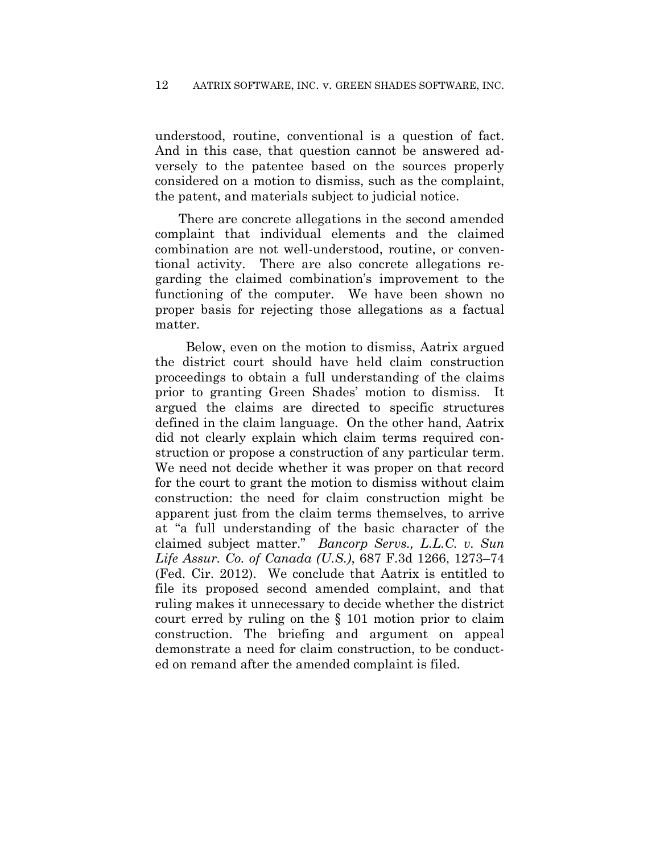understood, routine, conventional is a question of fact. And in this case, that question cannot be answered adversely to the patentee based on the sources properly considered on a motion to dismiss, such as the complaint, the patent, and materials subject to judicial notice.

There are concrete allegations in the second amended complaint that individual elements and the claimed combination are not well-understood, routine, or conventional activity. There are also concrete allegations regarding the claimed combination's improvement to the functioning of the computer. We have been shown no proper basis for rejecting those allegations as a factual matter.

 Below, even on the motion to dismiss, Aatrix argued the district court should have held claim construction proceedings to obtain a full understanding of the claims prior to granting Green Shades' motion to dismiss. It argued the claims are directed to specific structures defined in the claim language. On the other hand, Aatrix did not clearly explain which claim terms required construction or propose a construction of any particular term. We need not decide whether it was proper on that record for the court to grant the motion to dismiss without claim construction: the need for claim construction might be apparent just from the claim terms themselves, to arrive at "a full understanding of the basic character of the claimed subject matter." *Bancorp Servs., L.L.C. v. Sun Life Assur. Co. of Canada (U.S.)*, 687 F.3d 1266, 1273–74 (Fed. Cir. 2012). We conclude that Aatrix is entitled to file its proposed second amended complaint, and that ruling makes it unnecessary to decide whether the district court erred by ruling on the § 101 motion prior to claim construction. The briefing and argument on appeal demonstrate a need for claim construction, to be conducted on remand after the amended complaint is filed.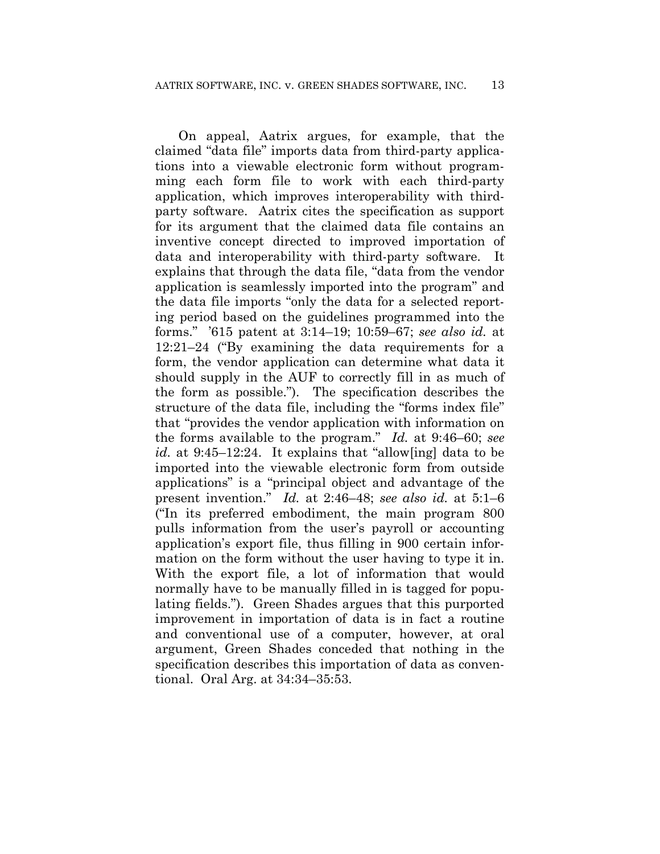On appeal, Aatrix argues, for example, that the claimed "data file" imports data from third-party applications into a viewable electronic form without programming each form file to work with each third-party application, which improves interoperability with thirdparty software. Aatrix cites the specification as support for its argument that the claimed data file contains an inventive concept directed to improved importation of data and interoperability with third-party software. It explains that through the data file, "data from the vendor application is seamlessly imported into the program" and the data file imports "only the data for a selected reporting period based on the guidelines programmed into the forms." '615 patent at 3:14–19; 10:59–67; *see also id.* at 12:21–24 ("By examining the data requirements for a form, the vendor application can determine what data it should supply in the AUF to correctly fill in as much of the form as possible."). The specification describes the structure of the data file, including the "forms index file" that "provides the vendor application with information on the forms available to the program." *Id.* at 9:46–60; *see id.* at 9:45–12:24. It explains that "allow[ing] data to be imported into the viewable electronic form from outside applications" is a "principal object and advantage of the present invention." *Id.* at 2:46–48; *see also id.* at 5:1–6 ("In its preferred embodiment, the main program 800 pulls information from the user's payroll or accounting application's export file, thus filling in 900 certain information on the form without the user having to type it in. With the export file, a lot of information that would normally have to be manually filled in is tagged for populating fields."). Green Shades argues that this purported improvement in importation of data is in fact a routine and conventional use of a computer, however, at oral argument, Green Shades conceded that nothing in the specification describes this importation of data as conventional. Oral Arg. at 34:34–35:53.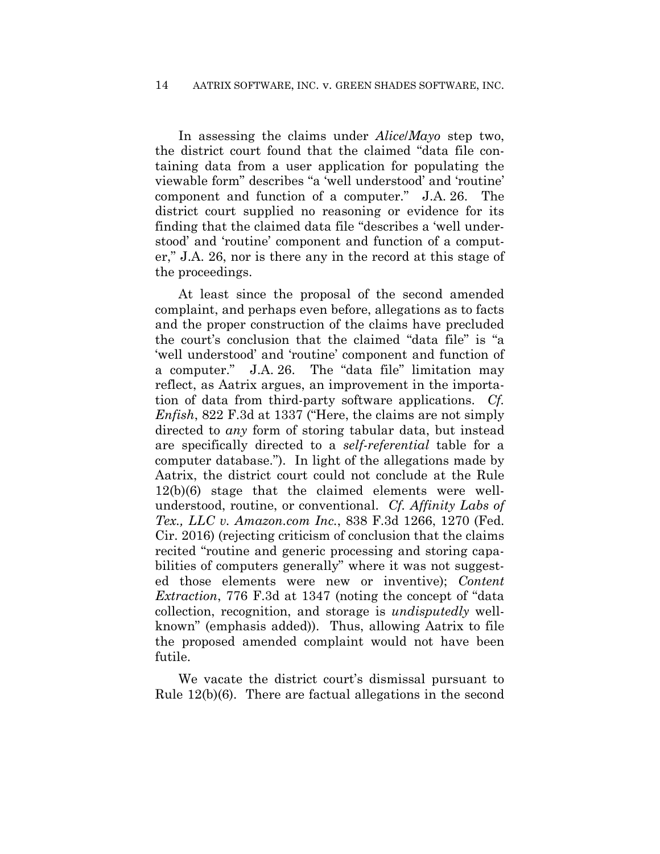In assessing the claims under *Alice*/*Mayo* step two, the district court found that the claimed "data file containing data from a user application for populating the viewable form" describes "a 'well understood' and 'routine' component and function of a computer." J.A. 26. The district court supplied no reasoning or evidence for its finding that the claimed data file "describes a 'well understood' and 'routine' component and function of a computer," J.A. 26, nor is there any in the record at this stage of the proceedings.

At least since the proposal of the second amended complaint, and perhaps even before, allegations as to facts and the proper construction of the claims have precluded the court's conclusion that the claimed "data file" is "a 'well understood' and 'routine' component and function of a computer." J.A. 26. The "data file" limitation may reflect, as Aatrix argues, an improvement in the importation of data from third-party software applications. *Cf. Enfish*, 822 F.3d at 1337 ("Here, the claims are not simply directed to *any* form of storing tabular data, but instead are specifically directed to a *self-referential* table for a computer database."). In light of the allegations made by Aatrix, the district court could not conclude at the Rule 12(b)(6) stage that the claimed elements were wellunderstood, routine, or conventional. *Cf. Affinity Labs of Tex., LLC v. Amazon.com Inc.*, 838 F.3d 1266, 1270 (Fed. Cir. 2016) (rejecting criticism of conclusion that the claims recited "routine and generic processing and storing capabilities of computers generally" where it was not suggested those elements were new or inventive); *Content Extraction*, 776 F.3d at 1347 (noting the concept of "data collection, recognition, and storage is *undisputedly* wellknown" (emphasis added)). Thus, allowing Aatrix to file the proposed amended complaint would not have been futile.

We vacate the district court's dismissal pursuant to Rule 12(b)(6). There are factual allegations in the second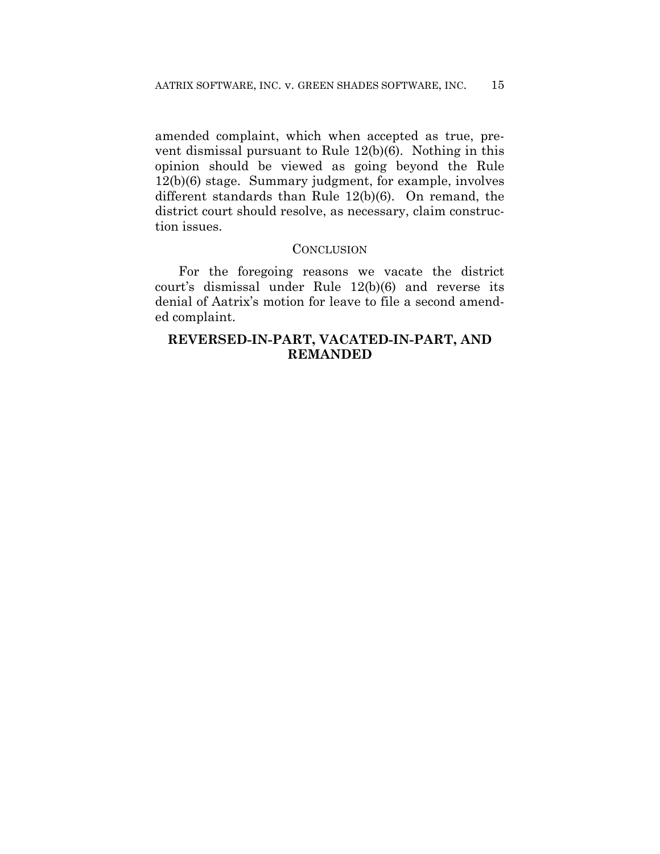amended complaint, which when accepted as true, prevent dismissal pursuant to Rule 12(b)(6). Nothing in this opinion should be viewed as going beyond the Rule 12(b)(6) stage. Summary judgment, for example, involves different standards than Rule 12(b)(6). On remand, the district court should resolve, as necessary, claim construction issues.

### **CONCLUSION**

For the foregoing reasons we vacate the district court's dismissal under Rule 12(b)(6) and reverse its denial of Aatrix's motion for leave to file a second amended complaint.

# **REVERSED-IN-PART, VACATED-IN-PART, AND REMANDED**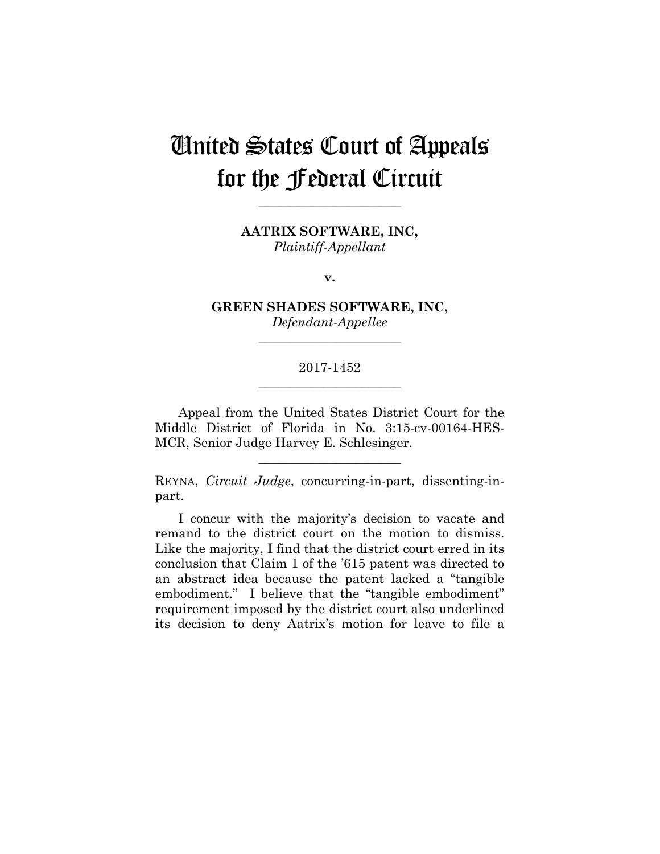# United States Court of Appeals for the Federal Circuit

**\_\_\_\_\_\_\_\_\_\_\_\_\_\_\_\_\_\_\_\_\_\_** 

**AATRIX SOFTWARE, INC,** *Plaintiff-Appellant*

**v.**

**GREEN SHADES SOFTWARE, INC,** *Defendant-Appellee*

**\_\_\_\_\_\_\_\_\_\_\_\_\_\_\_\_\_\_\_\_\_\_** 

## 2017-1452 **\_\_\_\_\_\_\_\_\_\_\_\_\_\_\_\_\_\_\_\_\_\_**

Appeal from the United States District Court for the Middle District of Florida in No. 3:15-cv-00164-HES-MCR, Senior Judge Harvey E. Schlesinger.

REYNA, *Circuit Judge*, concurring-in-part, dissenting-inpart.

**\_\_\_\_\_\_\_\_\_\_\_\_\_\_\_\_\_\_\_\_\_\_** 

I concur with the majority's decision to vacate and remand to the district court on the motion to dismiss. Like the majority, I find that the district court erred in its conclusion that Claim 1 of the '615 patent was directed to an abstract idea because the patent lacked a "tangible embodiment." I believe that the "tangible embodiment" requirement imposed by the district court also underlined its decision to deny Aatrix's motion for leave to file a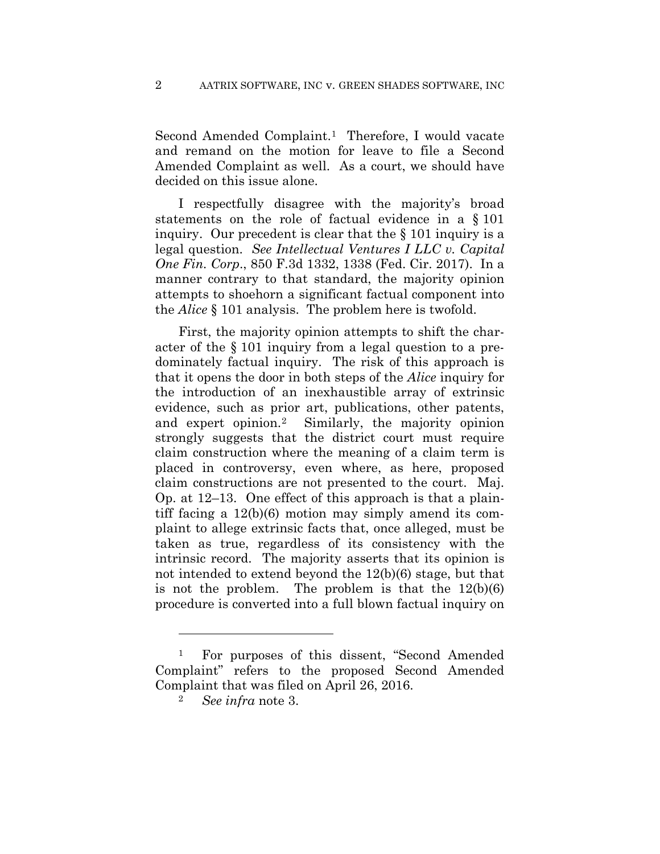Second Amended Complaint.<sup>1</sup> Therefore, I would vacate and remand on the motion for leave to file a Second Amended Complaint as well. As a court, we should have decided on this issue alone.

I respectfully disagree with the majority's broad statements on the role of factual evidence in a § 101 inquiry. Our precedent is clear that the § 101 inquiry is a legal question. *See Intellectual Ventures I LLC v. Capital One Fin. Corp*., 850 F.3d 1332, 1338 (Fed. Cir. 2017). In a manner contrary to that standard, the majority opinion attempts to shoehorn a significant factual component into the *Alice* § 101 analysis. The problem here is twofold.

First, the majority opinion attempts to shift the character of the § 101 inquiry from a legal question to a predominately factual inquiry. The risk of this approach is that it opens the door in both steps of the *Alice* inquiry for the introduction of an inexhaustible array of extrinsic evidence, such as prior art, publications, other patents, and expert opinion.2 Similarly, the majority opinion strongly suggests that the district court must require claim construction where the meaning of a claim term is placed in controversy, even where, as here, proposed claim constructions are not presented to the court. Maj. Op. at 12–13. One effect of this approach is that a plaintiff facing a 12(b)(6) motion may simply amend its complaint to allege extrinsic facts that, once alleged, must be taken as true, regardless of its consistency with the intrinsic record. The majority asserts that its opinion is not intended to extend beyond the 12(b)(6) stage, but that is not the problem. The problem is that the 12(b)(6) procedure is converted into a full blown factual inquiry on

 $\overline{a}$ 

<sup>1</sup> For purposes of this dissent, "Second Amended Complaint" refers to the proposed Second Amended Complaint that was filed on April 26, 2016.

<sup>2</sup> *See infra* note 3.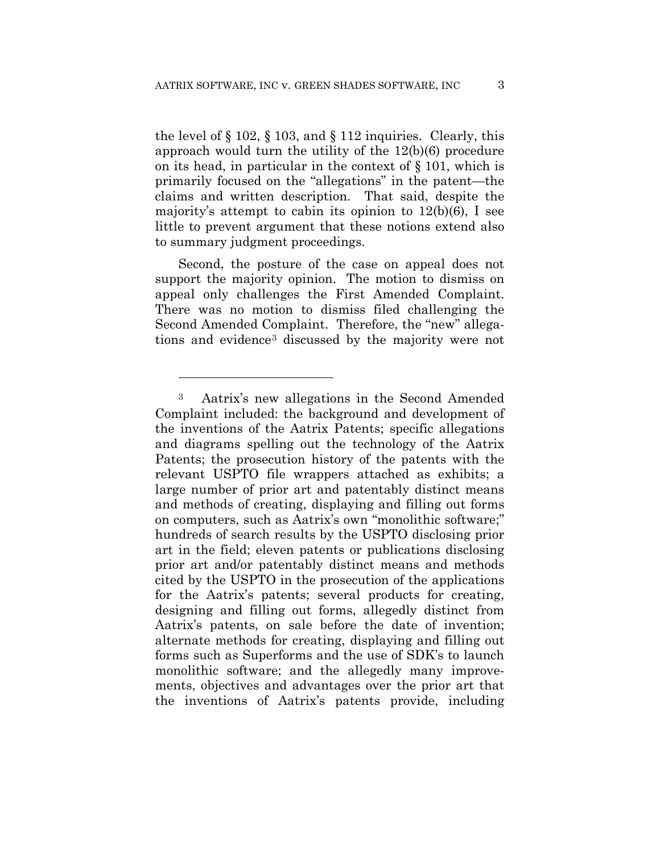the level of  $\S$  102,  $\S$  103, and  $\S$  112 inquiries. Clearly, this approach would turn the utility of the 12(b)(6) procedure on its head, in particular in the context of § 101, which is primarily focused on the "allegations" in the patent—the claims and written description. That said, despite the majority's attempt to cabin its opinion to 12(b)(6), I see little to prevent argument that these notions extend also to summary judgment proceedings.

 Second, the posture of the case on appeal does not support the majority opinion. The motion to dismiss on appeal only challenges the First Amended Complaint. There was no motion to dismiss filed challenging the Second Amended Complaint. Therefore, the "new" allegations and evidence3 discussed by the majority were not

<sup>3</sup> Aatrix's new allegations in the Second Amended Complaint included: the background and development of the inventions of the Aatrix Patents; specific allegations and diagrams spelling out the technology of the Aatrix Patents; the prosecution history of the patents with the relevant USPTO file wrappers attached as exhibits; a large number of prior art and patentably distinct means and methods of creating, displaying and filling out forms on computers, such as Aatrix's own "monolithic software;" hundreds of search results by the USPTO disclosing prior art in the field; eleven patents or publications disclosing prior art and/or patentably distinct means and methods cited by the USPTO in the prosecution of the applications for the Aatrix's patents; several products for creating, designing and filling out forms, allegedly distinct from Aatrix's patents, on sale before the date of invention; alternate methods for creating, displaying and filling out forms such as Superforms and the use of SDK's to launch monolithic software; and the allegedly many improvements, objectives and advantages over the prior art that the inventions of Aatrix's patents provide, including